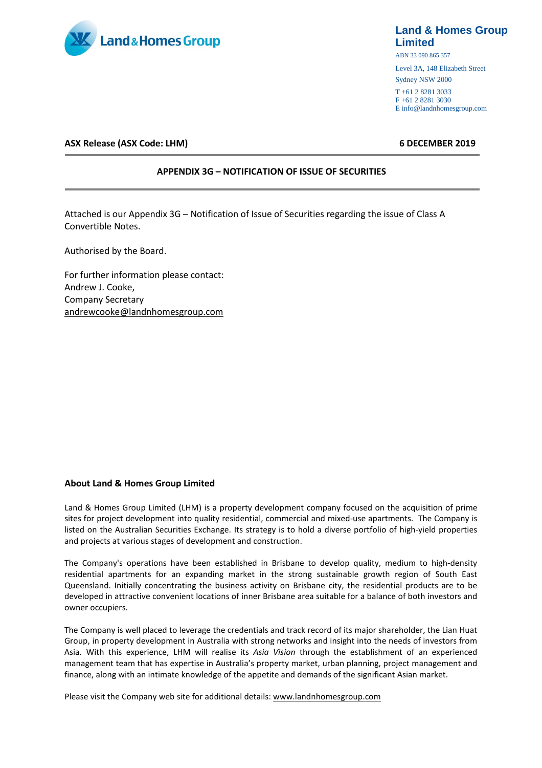

### **Land & Homes Group Limited**

ABN 33 090 865 357

Level 3A, 148 Elizabeth Street Sydney NSW 2000

T +61 2 8281 3033 F +61 2 8281 3030 E info@landnhomesgroup.com

**ASX Release (ASX Code: LHM) 6 DECEMBER 2019** 

### **APPENDIX 3G – NOTIFICATION OF ISSUE OF SECURITIES**

Attached is our Appendix 3G – Notification of Issue of Securities regarding the issue of Class A Convertible Notes.

Authorised by the Board.

For further information please contact: Andrew J. Cooke, Company Secretary [andrewcooke@landnhomesgroup.com](mailto:andrewcooke@landnhomesgroup.com)

#### **About Land & Homes Group Limited**

Land & Homes Group Limited (LHM) is a property development company focused on the acquisition of prime sites for project development into quality residential, commercial and mixed-use apartments. The Company is listed on the Australian Securities Exchange. Its strategy is to hold a diverse portfolio of high-yield properties and projects at various stages of development and construction.

The Company's operations have been established in Brisbane to develop quality, medium to high-density residential apartments for an expanding market in the strong sustainable growth region of South East Queensland. Initially concentrating the business activity on Brisbane city, the residential products are to be developed in attractive convenient locations of inner Brisbane area suitable for a balance of both investors and owner occupiers.

The Company is well placed to leverage the credentials and track record of its major shareholder, the Lian Huat Group, in property development in Australia with strong networks and insight into the needs of investors from Asia. With this experience, LHM will realise its *Asia Vision* through the establishment of an experienced management team that has expertise in Australia's property market, urban planning, project management and finance, along with an intimate knowledge of the appetite and demands of the significant Asian market.

Please visit the Company web site for additional details: [www.landnhomesgroup.com](http://www.landnhomesgroup.com/irm/content/default.aspx)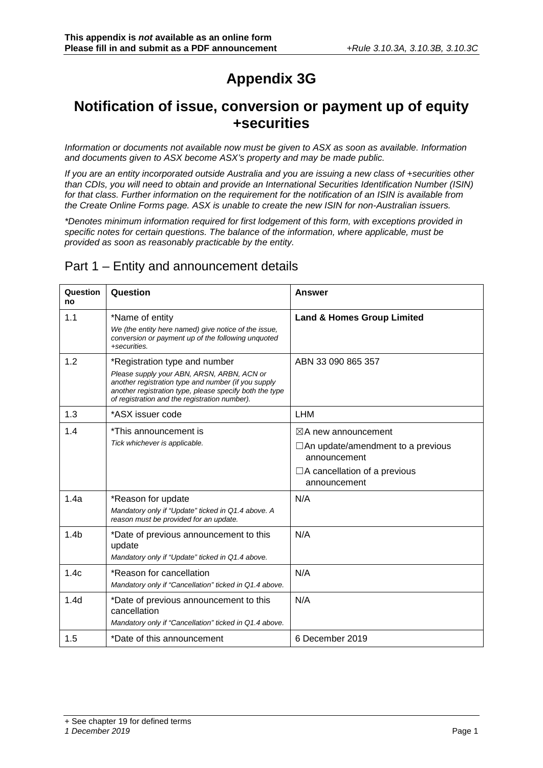# **Appendix 3G**

## **Notification of issue, conversion or payment up of equity +securities**

*Information or documents not available now must be given to ASX as soon as available. Information and documents given to ASX become ASX's property and may be made public.*

*If you are an entity incorporated outside Australia and you are issuing a new class of +securities other than CDIs, you will need to obtain and provide an International Securities Identification Number (ISIN) for that class. Further information on the requirement for the notification of an ISIN is available from the Create Online Forms page. ASX is unable to create the new ISIN for non-Australian issuers.*

*\*Denotes minimum information required for first lodgement of this form, with exceptions provided in specific notes for certain questions. The balance of the information, where applicable, must be provided as soon as reasonably practicable by the entity.*

## Part 1 – Entity and announcement details

| Question<br>no   | Question                                                                                                                                                                                                                                       | <b>Answer</b>                                                                                                                                     |
|------------------|------------------------------------------------------------------------------------------------------------------------------------------------------------------------------------------------------------------------------------------------|---------------------------------------------------------------------------------------------------------------------------------------------------|
| 1.1              | *Name of entity<br>We (the entity here named) give notice of the issue,<br>conversion or payment up of the following unquoted<br>+securities.                                                                                                  | <b>Land &amp; Homes Group Limited</b>                                                                                                             |
| 1.2              | *Registration type and number<br>Please supply your ABN, ARSN, ARBN, ACN or<br>another registration type and number (if you supply<br>another registration type, please specify both the type<br>of registration and the registration number). | ABN 33 090 865 357                                                                                                                                |
| 1.3              | *ASX issuer code                                                                                                                                                                                                                               | <b>LHM</b>                                                                                                                                        |
| 1.4              | *This announcement is<br>Tick whichever is applicable.                                                                                                                                                                                         | $\boxtimes$ A new announcement<br>$\Box$ An update/amendment to a previous<br>announcement<br>$\Box$ A cancellation of a previous<br>announcement |
| 1.4a             | *Reason for update<br>Mandatory only if "Update" ticked in Q1.4 above. A<br>reason must be provided for an update.                                                                                                                             | N/A                                                                                                                                               |
| 1.4 <sub>b</sub> | *Date of previous announcement to this<br>update<br>Mandatory only if "Update" ticked in Q1.4 above.                                                                                                                                           | N/A                                                                                                                                               |
| 1.4c             | *Reason for cancellation<br>Mandatory only if "Cancellation" ticked in Q1.4 above.                                                                                                                                                             | N/A                                                                                                                                               |
| 1.4d             | *Date of previous announcement to this<br>cancellation<br>Mandatory only if "Cancellation" ticked in Q1.4 above.                                                                                                                               | N/A                                                                                                                                               |
| 1.5              | *Date of this announcement                                                                                                                                                                                                                     | 6 December 2019                                                                                                                                   |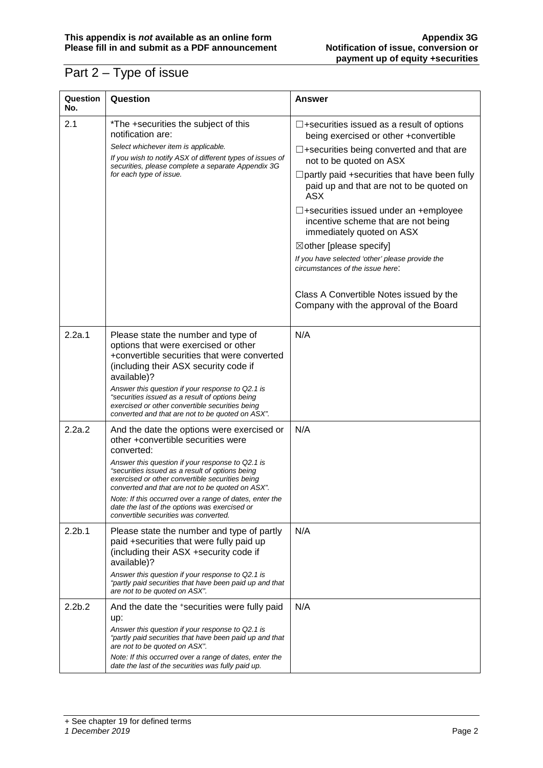# Part 2 – Type of issue

| Question<br>No.    | Question                                                                                                                                                                                                                                                                                                                                                                                                                                                          | <b>Answer</b>                                                                                                                                                                                                                                                                                                                                                                                                                                                                                                                                                                                                                  |
|--------------------|-------------------------------------------------------------------------------------------------------------------------------------------------------------------------------------------------------------------------------------------------------------------------------------------------------------------------------------------------------------------------------------------------------------------------------------------------------------------|--------------------------------------------------------------------------------------------------------------------------------------------------------------------------------------------------------------------------------------------------------------------------------------------------------------------------------------------------------------------------------------------------------------------------------------------------------------------------------------------------------------------------------------------------------------------------------------------------------------------------------|
| 2.1                | *The +securities the subject of this<br>notification are:<br>Select whichever item is applicable.<br>If you wish to notify ASX of different types of issues of<br>securities, please complete a separate Appendix 3G<br>for each type of issue.                                                                                                                                                                                                                   | $\Box$ +securities issued as a result of options<br>being exercised or other +convertible<br>$\Box$ +securities being converted and that are<br>not to be quoted on ASX<br>$\Box$ partly paid +securities that have been fully<br>paid up and that are not to be quoted on<br><b>ASX</b><br>$\Box$ +securities issued under an +employee<br>incentive scheme that are not being<br>immediately quoted on ASX<br>$\boxtimes$ other [please specify]<br>If you have selected 'other' please provide the<br>circumstances of the issue here:<br>Class A Convertible Notes issued by the<br>Company with the approval of the Board |
| 2.2a.1             | Please state the number and type of<br>options that were exercised or other<br>+convertible securities that were converted<br>(including their ASX security code if<br>available)?<br>Answer this question if your response to Q2.1 is<br>"securities issued as a result of options being<br>exercised or other convertible securities being<br>converted and that are not to be quoted on ASX".                                                                  | N/A                                                                                                                                                                                                                                                                                                                                                                                                                                                                                                                                                                                                                            |
| 2.2a.2             | And the date the options were exercised or<br>other +convertible securities were<br>converted:<br>Answer this question if your response to Q2.1 is<br>"securities issued as a result of options being<br>exercised or other convertible securities being<br>converted and that are not to be quoted on ASX".<br>Note: If this occurred over a range of dates, enter the<br>date the last of the options was exercised or<br>convertible securities was converted. | N/A                                                                                                                                                                                                                                                                                                                                                                                                                                                                                                                                                                                                                            |
| 2.2 <sub>b.1</sub> | Please state the number and type of partly<br>paid +securities that were fully paid up<br>(including their ASX +security code if<br>available)?<br>Answer this question if your response to Q2.1 is<br>"partly paid securities that have been paid up and that<br>are not to be quoted on ASX".                                                                                                                                                                   | N/A                                                                                                                                                                                                                                                                                                                                                                                                                                                                                                                                                                                                                            |
| 2.2 <sub>b.2</sub> | And the date the +securities were fully paid<br>up:<br>Answer this question if your response to Q2.1 is<br>"partly paid securities that have been paid up and that<br>are not to be quoted on ASX".<br>Note: If this occurred over a range of dates, enter the<br>date the last of the securities was fully paid up.                                                                                                                                              | N/A                                                                                                                                                                                                                                                                                                                                                                                                                                                                                                                                                                                                                            |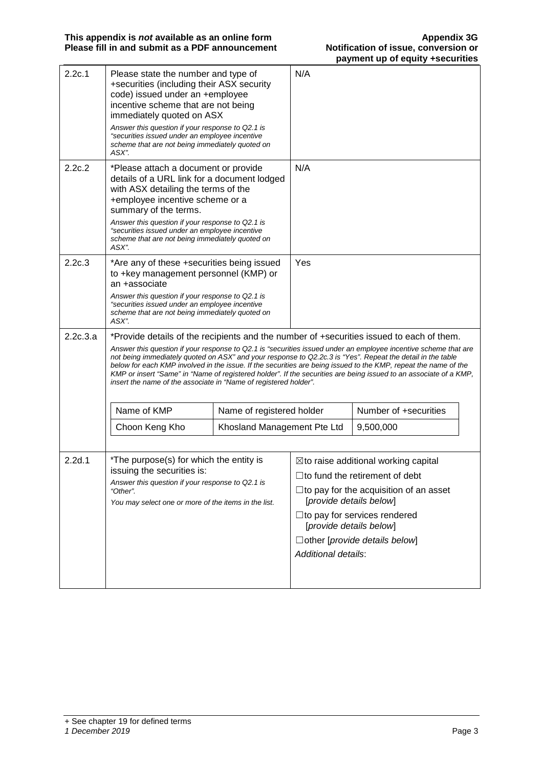| 2.2c.1   | Please state the number and type of<br>+securities (including their ASX security<br>code) issued under an +employee<br>incentive scheme that are not being<br>immediately quoted on ASX<br>Answer this question if your response to Q2.1 is<br>"securities issued under an employee incentive<br>scheme that are not being immediately quoted on<br>ASX".                                                                                                                                                                                                                                                                             |                             | N/A                                             |                                               |
|----------|---------------------------------------------------------------------------------------------------------------------------------------------------------------------------------------------------------------------------------------------------------------------------------------------------------------------------------------------------------------------------------------------------------------------------------------------------------------------------------------------------------------------------------------------------------------------------------------------------------------------------------------|-----------------------------|-------------------------------------------------|-----------------------------------------------|
| 2.2c.2   | *Please attach a document or provide<br>details of a URL link for a document lodged<br>with ASX detailing the terms of the<br>+employee incentive scheme or a<br>summary of the terms.<br>Answer this question if your response to Q2.1 is<br>"securities issued under an employee incentive<br>scheme that are not being immediately quoted on<br>ASX".                                                                                                                                                                                                                                                                              |                             | N/A                                             |                                               |
| 2.2c.3   | *Are any of these +securities being issued<br>to +key management personnel (KMP) or<br>an +associate<br>Answer this question if your response to Q2.1 is<br>"securities issued under an employee incentive<br>scheme that are not being immediately quoted on<br>ASX".                                                                                                                                                                                                                                                                                                                                                                |                             | Yes                                             |                                               |
| 2.2c.3.a | *Provide details of the recipients and the number of +securities issued to each of them.<br>Answer this question if your response to Q2.1 is "securities issued under an employee incentive scheme that are<br>not being immediately quoted on ASX" and your response to Q2.2c.3 is "Yes". Repeat the detail in the table<br>below for each KMP involved in the issue. If the securities are being issued to the KMP, repeat the name of the<br>KMP or insert "Same" in "Name of registered holder". If the securities are being issued to an associate of a KMP,<br>insert the name of the associate in "Name of registered holder". |                             |                                                 |                                               |
|          | Name of KMP                                                                                                                                                                                                                                                                                                                                                                                                                                                                                                                                                                                                                           | Name of registered holder   |                                                 | Number of +securities                         |
|          | Choon Keng Kho                                                                                                                                                                                                                                                                                                                                                                                                                                                                                                                                                                                                                        | Khosland Management Pte Ltd |                                                 | 9,500,000                                     |
|          |                                                                                                                                                                                                                                                                                                                                                                                                                                                                                                                                                                                                                                       |                             |                                                 |                                               |
| 2.2d.1   | *The purpose(s) for which the entity is<br>issuing the securities is:                                                                                                                                                                                                                                                                                                                                                                                                                                                                                                                                                                 |                             | $\boxtimes$ to raise additional working capital |                                               |
|          | Answer this question if your response to Q2.1 is                                                                                                                                                                                                                                                                                                                                                                                                                                                                                                                                                                                      |                             | $\Box$ to fund the retirement of debt           |                                               |
|          | "Other".<br>You may select one or more of the items in the list.                                                                                                                                                                                                                                                                                                                                                                                                                                                                                                                                                                      |                             | [provide details below]                         | $\Box$ to pay for the acquisition of an asset |
|          |                                                                                                                                                                                                                                                                                                                                                                                                                                                                                                                                                                                                                                       |                             | $\square$ to pay for services rendered          |                                               |
|          |                                                                                                                                                                                                                                                                                                                                                                                                                                                                                                                                                                                                                                       |                             | [provide details below]                         |                                               |
|          |                                                                                                                                                                                                                                                                                                                                                                                                                                                                                                                                                                                                                                       |                             |                                                 | $\Box$ other [provide details below]          |
|          |                                                                                                                                                                                                                                                                                                                                                                                                                                                                                                                                                                                                                                       |                             | Additional details:                             |                                               |
|          |                                                                                                                                                                                                                                                                                                                                                                                                                                                                                                                                                                                                                                       |                             |                                                 |                                               |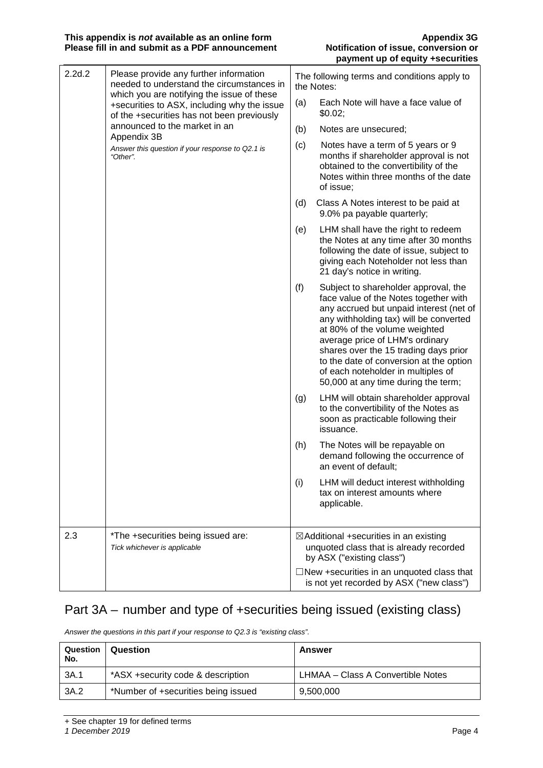| 2.2d.2                                                                      | Please provide any further information<br>needed to understand the circumstances in<br>which you are notifying the issue of these<br>+securities to ASX, including why the issue<br>of the +securities has not been previously |                                                                                                                                                                                                                                                                                                                                                                                                         | The following terms and conditions apply to<br>the Notes:                                                                                                                                     |
|-----------------------------------------------------------------------------|--------------------------------------------------------------------------------------------------------------------------------------------------------------------------------------------------------------------------------|---------------------------------------------------------------------------------------------------------------------------------------------------------------------------------------------------------------------------------------------------------------------------------------------------------------------------------------------------------------------------------------------------------|-----------------------------------------------------------------------------------------------------------------------------------------------------------------------------------------------|
|                                                                             |                                                                                                                                                                                                                                | (a)                                                                                                                                                                                                                                                                                                                                                                                                     | Each Note will have a face value of<br>\$0.02;                                                                                                                                                |
|                                                                             | announced to the market in an                                                                                                                                                                                                  | (b)                                                                                                                                                                                                                                                                                                                                                                                                     | Notes are unsecured;                                                                                                                                                                          |
| Appendix 3B<br>Answer this question if your response to Q2.1 is<br>"Other". | (c)                                                                                                                                                                                                                            | Notes have a term of 5 years or 9<br>months if shareholder approval is not<br>obtained to the convertibility of the<br>Notes within three months of the date<br>of issue;                                                                                                                                                                                                                               |                                                                                                                                                                                               |
|                                                                             |                                                                                                                                                                                                                                | (d)                                                                                                                                                                                                                                                                                                                                                                                                     | Class A Notes interest to be paid at<br>9.0% pa payable quarterly;                                                                                                                            |
|                                                                             |                                                                                                                                                                                                                                | (e)                                                                                                                                                                                                                                                                                                                                                                                                     | LHM shall have the right to redeem<br>the Notes at any time after 30 months<br>following the date of issue, subject to<br>giving each Noteholder not less than<br>21 day's notice in writing. |
|                                                                             | (f)                                                                                                                                                                                                                            | Subject to shareholder approval, the<br>face value of the Notes together with<br>any accrued but unpaid interest (net of<br>any withholding tax) will be converted<br>at 80% of the volume weighted<br>average price of LHM's ordinary<br>shares over the 15 trading days prior<br>to the date of conversion at the option<br>of each noteholder in multiples of<br>50,000 at any time during the term; |                                                                                                                                                                                               |
|                                                                             |                                                                                                                                                                                                                                | (g)                                                                                                                                                                                                                                                                                                                                                                                                     | LHM will obtain shareholder approval<br>to the convertibility of the Notes as<br>soon as practicable following their<br>issuance.                                                             |
|                                                                             |                                                                                                                                                                                                                                | (h)                                                                                                                                                                                                                                                                                                                                                                                                     | The Notes will be repayable on<br>demand following the occurrence of<br>an event of default;                                                                                                  |
|                                                                             |                                                                                                                                                                                                                                | (i)                                                                                                                                                                                                                                                                                                                                                                                                     | LHM will deduct interest withholding<br>tax on interest amounts where<br>applicable.                                                                                                          |
| 2.3                                                                         | *The +securities being issued are:<br>Tick whichever is applicable                                                                                                                                                             |                                                                                                                                                                                                                                                                                                                                                                                                         | $\boxtimes$ Additional +securities in an existing<br>unquoted class that is already recorded<br>by ASX ("existing class")                                                                     |
|                                                                             |                                                                                                                                                                                                                                |                                                                                                                                                                                                                                                                                                                                                                                                         | $\Box$ New +securities in an unquoted class that<br>is not yet recorded by ASX ("new class")                                                                                                  |

# Part 3A – number and type of +securities being issued (existing class)

*Answer the questions in this part if your response to Q2.3 is "existing class".*

| Question<br>No. | Question                            | Answer                            |
|-----------------|-------------------------------------|-----------------------------------|
| 3A.1            | *ASX +security code & description   | LHMAA - Class A Convertible Notes |
| 3A.2            | *Number of +securities being issued | 9,500,000                         |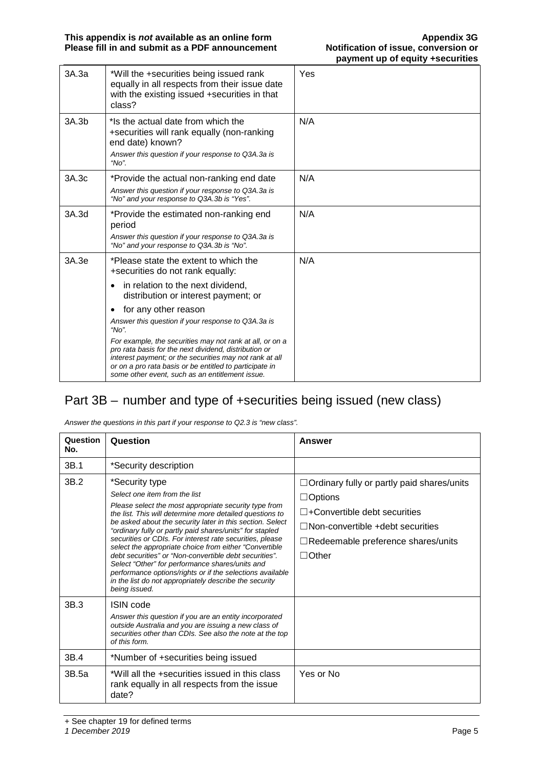| *Will the +securities being issued rank<br>equally in all respects from their issue date<br>with the existing issued +securities in that<br>class?                                                                                                                                                                                                                                                                                                                                                                     | Yes                                             |
|------------------------------------------------------------------------------------------------------------------------------------------------------------------------------------------------------------------------------------------------------------------------------------------------------------------------------------------------------------------------------------------------------------------------------------------------------------------------------------------------------------------------|-------------------------------------------------|
| *Is the actual date from which the<br>+securities will rank equally (non-ranking<br>end date) known?<br>Answer this question if your response to Q3A.3a is<br>"No".                                                                                                                                                                                                                                                                                                                                                    | N/A                                             |
| *Provide the actual non-ranking end date<br>Answer this question if your response to Q3A.3a is<br>"No" and your response to Q3A.3b is "Yes".                                                                                                                                                                                                                                                                                                                                                                           | N/A                                             |
| *Provide the estimated non-ranking end<br>period<br>Answer this question if your response to Q3A.3a is<br>"No" and your response to Q3A.3b is "No".                                                                                                                                                                                                                                                                                                                                                                    | N/A                                             |
| *Please state the extent to which the<br>+securities do not rank equally:<br>in relation to the next dividend,<br>$\bullet$<br>distribution or interest payment; or<br>for any other reason<br>$\bullet$<br>Answer this question if your response to Q3A.3a is<br>" $No$ ".<br>For example, the securities may not rank at all, or on a<br>pro rata basis for the next dividend, distribution or<br>interest payment; or the securities may not rank at all<br>or on a pro rata basis or be entitled to participate in | N/A                                             |
|                                                                                                                                                                                                                                                                                                                                                                                                                                                                                                                        | some other event, such as an entitlement issue. |

## Part 3B – number and type of +securities being issued (new class)

*Answer the questions in this part if your response to Q2.3 is "new class".*

| Question<br>No. | Question                                                                                                                                                                                                                                                                                                                                                                                                                                                                                                                                                                                                                                                                  | Answer                                                                                                                                                                                                             |
|-----------------|---------------------------------------------------------------------------------------------------------------------------------------------------------------------------------------------------------------------------------------------------------------------------------------------------------------------------------------------------------------------------------------------------------------------------------------------------------------------------------------------------------------------------------------------------------------------------------------------------------------------------------------------------------------------------|--------------------------------------------------------------------------------------------------------------------------------------------------------------------------------------------------------------------|
| 3B.1            | *Security description                                                                                                                                                                                                                                                                                                                                                                                                                                                                                                                                                                                                                                                     |                                                                                                                                                                                                                    |
| 3B.2            | *Security type<br>Select one item from the list<br>Please select the most appropriate security type from<br>the list. This will determine more detailed questions to<br>be asked about the security later in this section. Select<br>"ordinary fully or partly paid shares/units" for stapled<br>securities or CDIs. For interest rate securities, please<br>select the appropriate choice from either "Convertible"<br>debt securities" or "Non-convertible debt securities".<br>Select "Other" for performance shares/units and<br>performance options/rights or if the selections available<br>in the list do not appropriately describe the security<br>being issued. | $\Box$ Ordinary fully or partly paid shares/units<br>$\Box$ Options<br>$\Box$ +Convertible debt securities<br>$\Box$ Non-convertible +debt securities<br>$\Box$ Redeemable preference shares/units<br>$\Box$ Other |
| 3B.3            | <b>ISIN</b> code<br>Answer this question if you are an entity incorporated<br>outside Australia and you are issuing a new class of<br>securities other than CDIs. See also the note at the top<br>of this form.                                                                                                                                                                                                                                                                                                                                                                                                                                                           |                                                                                                                                                                                                                    |
| 3B.4            | *Number of +securities being issued                                                                                                                                                                                                                                                                                                                                                                                                                                                                                                                                                                                                                                       |                                                                                                                                                                                                                    |
| 3B.5a           | *Will all the +securities issued in this class<br>rank equally in all respects from the issue<br>date?                                                                                                                                                                                                                                                                                                                                                                                                                                                                                                                                                                    | Yes or No                                                                                                                                                                                                          |

+ See chapter 19 for defined terms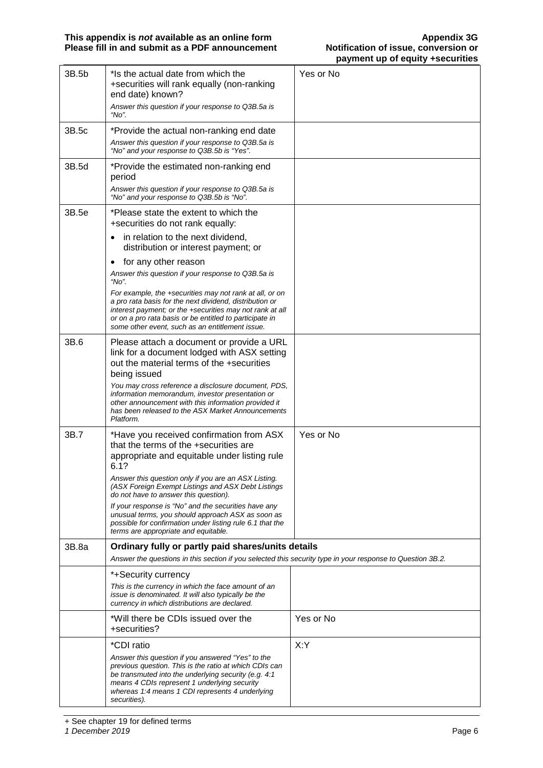| 3B.5b | *Is the actual date from which the<br>+securities will rank equally (non-ranking<br>end date) known?<br>Answer this question if your response to Q3B.5a is<br>"No".                                                                                                                          | Yes or No |
|-------|----------------------------------------------------------------------------------------------------------------------------------------------------------------------------------------------------------------------------------------------------------------------------------------------|-----------|
| 3B.5c | *Provide the actual non-ranking end date<br>Answer this question if your response to Q3B.5a is<br>"No" and your response to Q3B.5b is "Yes".                                                                                                                                                 |           |
| 3B.5d | *Provide the estimated non-ranking end<br>period<br>Answer this question if your response to Q3B.5a is<br>"No" and your response to Q3B.5b is "No".                                                                                                                                          |           |
| 3B.5e | *Please state the extent to which the<br>+securities do not rank equally:                                                                                                                                                                                                                    |           |
|       | in relation to the next dividend,<br>$\bullet$<br>distribution or interest payment; or                                                                                                                                                                                                       |           |
|       | for any other reason<br>$\bullet$<br>Answer this question if your response to Q3B.5a is<br>"No".                                                                                                                                                                                             |           |
|       | For example, the +securities may not rank at all, or on<br>a pro rata basis for the next dividend, distribution or<br>interest payment; or the +securities may not rank at all<br>or on a pro rata basis or be entitled to participate in<br>some other event, such as an entitlement issue. |           |
| 3B.6  | Please attach a document or provide a URL<br>link for a document lodged with ASX setting<br>out the material terms of the +securities<br>being issued                                                                                                                                        |           |
|       | You may cross reference a disclosure document, PDS,<br>information memorandum, investor presentation or<br>other announcement with this information provided it<br>has been released to the ASX Market Announcements<br>Platform.                                                            |           |
| 3B.7  | *Have you received confirmation from ASX<br>that the terms of the +securities are<br>appropriate and equitable under listing rule<br>6.1?                                                                                                                                                    | Yes or No |
|       | Answer this question only if you are an ASX Listing.<br>(ASX Foreign Exempt Listings and ASX Debt Listings<br>do not have to answer this question).                                                                                                                                          |           |
|       | If your response is "No" and the securities have any<br>unusual terms, you should approach ASX as soon as<br>possible for confirmation under listing rule 6.1 that the<br>terms are appropriate and equitable.                                                                               |           |
| 3B.8a | Ordinary fully or partly paid shares/units details                                                                                                                                                                                                                                           |           |
|       | Answer the questions in this section if you selected this security type in your response to Question 3B.2.                                                                                                                                                                                   |           |
|       | *+Security currency<br>This is the currency in which the face amount of an<br>issue is denominated. It will also typically be the<br>currency in which distributions are declared.                                                                                                           |           |
|       | *Will there be CDIs issued over the<br>+securities?                                                                                                                                                                                                                                          | Yes or No |
|       | *CDI ratio                                                                                                                                                                                                                                                                                   | X:Y       |
|       | Answer this question if you answered "Yes" to the<br>previous question. This is the ratio at which CDIs can<br>be transmuted into the underlying security (e.g. 4:1<br>means 4 CDIs represent 1 underlying security<br>whereas 1:4 means 1 CDI represents 4 underlying<br>securities).       |           |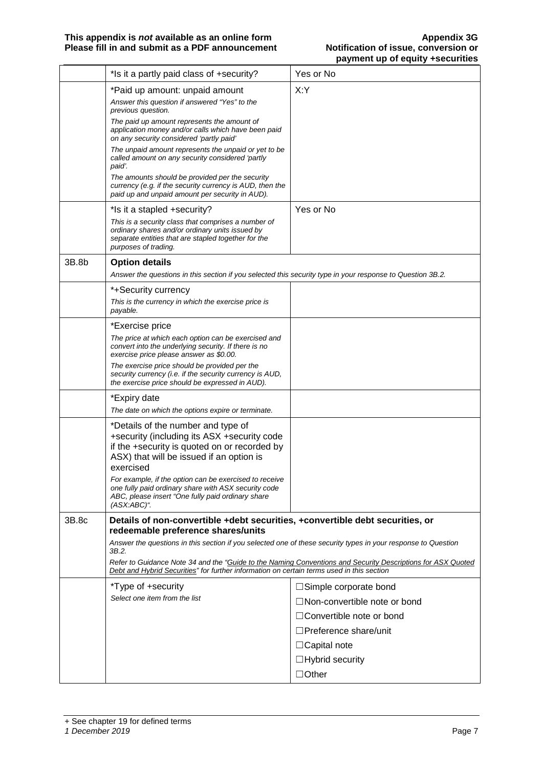| *Is it a partly paid class of +security?                                                                                                                                                                                                                                                                                                                                         | Yes or No                                                                                                                                                                              |
|----------------------------------------------------------------------------------------------------------------------------------------------------------------------------------------------------------------------------------------------------------------------------------------------------------------------------------------------------------------------------------|----------------------------------------------------------------------------------------------------------------------------------------------------------------------------------------|
| *Paid up amount: unpaid amount<br>Answer this question if answered "Yes" to the                                                                                                                                                                                                                                                                                                  | X:Y                                                                                                                                                                                    |
| The paid up amount represents the amount of<br>application money and/or calls which have been paid<br>on any security considered 'partly paid'                                                                                                                                                                                                                                   |                                                                                                                                                                                        |
| The unpaid amount represents the unpaid or yet to be<br>called amount on any security considered 'partly<br>paid'.                                                                                                                                                                                                                                                               |                                                                                                                                                                                        |
| The amounts should be provided per the security<br>currency (e.g. if the security currency is AUD, then the<br>paid up and unpaid amount per security in AUD).                                                                                                                                                                                                                   |                                                                                                                                                                                        |
| *Is it a stapled +security?<br>This is a security class that comprises a number of<br>ordinary shares and/or ordinary units issued by<br>separate entities that are stapled together for the<br>purposes of trading.                                                                                                                                                             | Yes or No                                                                                                                                                                              |
| <b>Option details</b><br>Answer the questions in this section if you selected this security type in your response to Question 3B.2.                                                                                                                                                                                                                                              |                                                                                                                                                                                        |
|                                                                                                                                                                                                                                                                                                                                                                                  |                                                                                                                                                                                        |
| This is the currency in which the exercise price is<br>payable.                                                                                                                                                                                                                                                                                                                  |                                                                                                                                                                                        |
| *Exercise price<br>The price at which each option can be exercised and<br>convert into the underlying security. If there is no<br>exercise price please answer as \$0.00.                                                                                                                                                                                                        |                                                                                                                                                                                        |
| security currency (i.e. if the security currency is AUD,<br>the exercise price should be expressed in AUD).                                                                                                                                                                                                                                                                      |                                                                                                                                                                                        |
| *Expiry date                                                                                                                                                                                                                                                                                                                                                                     |                                                                                                                                                                                        |
|                                                                                                                                                                                                                                                                                                                                                                                  |                                                                                                                                                                                        |
| *Details of the number and type of<br>+security (including its ASX +security code<br>if the +security is quoted on or recorded by<br>ASX) that will be issued if an option is<br>exercised<br>For example, if the option can be exercised to receive<br>one fully paid ordinary share with ASX security code<br>ABC, please insert "One fully paid ordinary share<br>(ASX:ABC)". |                                                                                                                                                                                        |
| Details of non-convertible +debt securities, +convertible debt securities, or                                                                                                                                                                                                                                                                                                    |                                                                                                                                                                                        |
| Answer the questions in this section if you selected one of these security types in your response to Question<br>3B.2.                                                                                                                                                                                                                                                           |                                                                                                                                                                                        |
| Debt and Hybrid Securities" for further information on certain terms used in this section                                                                                                                                                                                                                                                                                        | Refer to Guidance Note 34 and the "Guide to the Naming Conventions and Security Descriptions for ASX Quoted                                                                            |
| *Type of +security                                                                                                                                                                                                                                                                                                                                                               | □Simple corporate bond                                                                                                                                                                 |
| Select one item from the list                                                                                                                                                                                                                                                                                                                                                    | $\Box$ Non-convertible note or bond                                                                                                                                                    |
|                                                                                                                                                                                                                                                                                                                                                                                  | $\Box$ Convertible note or bond                                                                                                                                                        |
|                                                                                                                                                                                                                                                                                                                                                                                  | $\Box$ Preference share/unit                                                                                                                                                           |
|                                                                                                                                                                                                                                                                                                                                                                                  | $\Box$ Capital note                                                                                                                                                                    |
|                                                                                                                                                                                                                                                                                                                                                                                  | $\Box$ Hybrid security                                                                                                                                                                 |
|                                                                                                                                                                                                                                                                                                                                                                                  | $\Box$ Other                                                                                                                                                                           |
|                                                                                                                                                                                                                                                                                                                                                                                  | previous question.<br>*+Security currency<br>The exercise price should be provided per the<br>The date on which the options expire or terminate.<br>redeemable preference shares/units |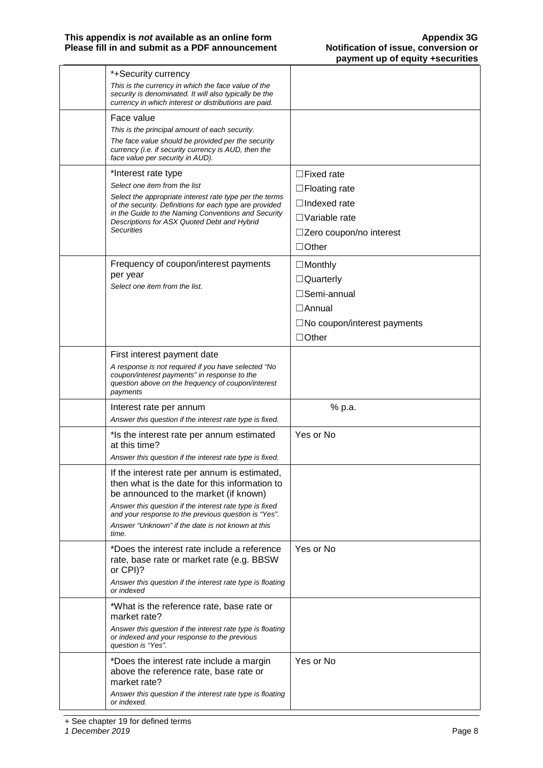| *+Security currency<br>This is the currency in which the face value of the<br>security is denominated. It will also typically be the<br>currency in which interest or distributions are paid.                                                                                                                           |                                                                                                                                      |
|-------------------------------------------------------------------------------------------------------------------------------------------------------------------------------------------------------------------------------------------------------------------------------------------------------------------------|--------------------------------------------------------------------------------------------------------------------------------------|
| Face value<br>This is the principal amount of each security.<br>The face value should be provided per the security<br>currency (i.e. if security currency is AUD, then the<br>face value per security in AUD).                                                                                                          |                                                                                                                                      |
| *Interest rate type<br>Select one item from the list<br>Select the appropriate interest rate type per the terms<br>of the security. Definitions for each type are provided<br>in the Guide to the Naming Conventions and Security<br>Descriptions for ASX Quoted Debt and Hybrid<br>Securities                          | $\Box$ Fixed rate<br>$\Box$ Floating rate<br>$\Box$ Indexed rate<br>$\Box$ Variable rate<br>□Zero coupon/no interest<br>$\Box$ Other |
| Frequency of coupon/interest payments<br>per year<br>Select one item from the list.                                                                                                                                                                                                                                     | $\Box$ Monthly<br>$\Box$ Quarterly<br>$\Box$ Semi-annual<br>$\Box$ Annual<br>$\square$ No coupon/interest payments<br>$\Box$ Other   |
| First interest payment date<br>A response is not required if you have selected "No<br>coupon/interest payments" in response to the<br>question above on the frequency of coupon/interest<br>payments                                                                                                                    |                                                                                                                                      |
| Interest rate per annum<br>Answer this question if the interest rate type is fixed.                                                                                                                                                                                                                                     | % p.a.                                                                                                                               |
| *Is the interest rate per annum estimated<br>at this time?<br>Answer this question if the interest rate type is fixed.                                                                                                                                                                                                  | Yes or No                                                                                                                            |
| If the interest rate per annum is estimated,<br>then what is the date for this information to<br>be announced to the market (if known)<br>Answer this question if the interest rate type is fixed<br>and your response to the previous question is "Yes".<br>Answer "Unknown" if the date is not known at this<br>time. |                                                                                                                                      |
| *Does the interest rate include a reference<br>rate, base rate or market rate (e.g. BBSW<br>or CPI)?<br>Answer this question if the interest rate type is floating<br>or indexed                                                                                                                                        | Yes or No                                                                                                                            |
| *What is the reference rate, base rate or<br>market rate?<br>Answer this question if the interest rate type is floating<br>or indexed and your response to the previous<br>question is "Yes".                                                                                                                           |                                                                                                                                      |
| *Does the interest rate include a margin<br>above the reference rate, base rate or<br>market rate?<br>Answer this question if the interest rate type is floating<br>or indexed.                                                                                                                                         | Yes or No                                                                                                                            |

+ See chapter 19 for defined terms

*1 December 2019* Page 8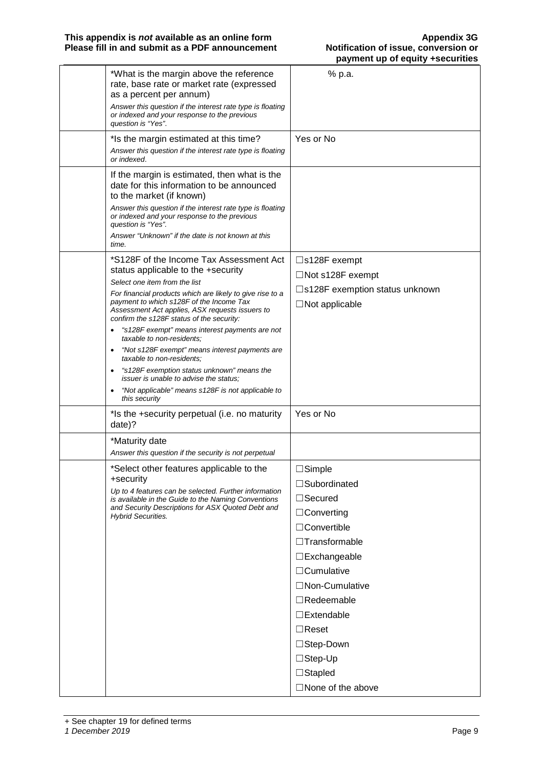#### **This appendix is** *not* **available as an online form<br>
<b>Please fill in and submit as a PDF announcement Alter Multication of issue, conversion or Please fill in and submit as a PDF announcement**

|  | *What is the margin above the reference<br>rate, base rate or market rate (expressed<br>as a percent per annum)<br>Answer this question if the interest rate type is floating<br>or indexed and your response to the previous<br>question is "Yes". | % p.a.                                   |
|--|-----------------------------------------------------------------------------------------------------------------------------------------------------------------------------------------------------------------------------------------------------|------------------------------------------|
|  | *Is the margin estimated at this time?                                                                                                                                                                                                              | Yes or No                                |
|  | Answer this question if the interest rate type is floating<br>or indexed.                                                                                                                                                                           |                                          |
|  | If the margin is estimated, then what is the<br>date for this information to be announced<br>to the market (if known)                                                                                                                               |                                          |
|  | Answer this question if the interest rate type is floating<br>or indexed and your response to the previous<br>question is "Yes".                                                                                                                    |                                          |
|  | Answer "Unknown" if the date is not known at this<br>time.                                                                                                                                                                                          |                                          |
|  | *S128F of the Income Tax Assessment Act                                                                                                                                                                                                             | $\square$ s128F exempt                   |
|  | status applicable to the +security<br>Select one item from the list                                                                                                                                                                                 | $\Box$ Not s128F exempt                  |
|  | For financial products which are likely to give rise to a                                                                                                                                                                                           | $\square$ s128F exemption status unknown |
|  | payment to which s128F of the Income Tax<br>Assessment Act applies, ASX requests issuers to<br>confirm the s128F status of the security:                                                                                                            | $\Box$ Not applicable                    |
|  | "s128F exempt" means interest payments are not<br>taxable to non-residents;                                                                                                                                                                         |                                          |
|  | "Not s128F exempt" means interest payments are<br>٠<br>taxable to non-residents;                                                                                                                                                                    |                                          |
|  | "s128F exemption status unknown" means the<br>$\bullet$<br><i>issuer is unable to advise the status;</i>                                                                                                                                            |                                          |
|  | "Not applicable" means s128F is not applicable to<br>this security                                                                                                                                                                                  |                                          |
|  | *Is the +security perpetual (i.e. no maturity<br>date)?                                                                                                                                                                                             | Yes or No                                |
|  | *Maturity date                                                                                                                                                                                                                                      |                                          |
|  | Answer this question if the security is not perpetual                                                                                                                                                                                               |                                          |
|  | *Select other features applicable to the                                                                                                                                                                                                            | <b>Simple</b>                            |
|  | +security<br>Up to 4 features can be selected. Further information<br>is available in the Guide to the Naming Conventions<br>and Security Descriptions for ASX Quoted Debt and<br><b>Hybrid Securities.</b>                                         | □Subordinated                            |
|  |                                                                                                                                                                                                                                                     | $\Box$ Secured                           |
|  |                                                                                                                                                                                                                                                     | $\Box$ Converting                        |
|  |                                                                                                                                                                                                                                                     | □Convertible                             |
|  |                                                                                                                                                                                                                                                     | $\Box$ Transformable                     |
|  |                                                                                                                                                                                                                                                     | $\square$ Exchangeable                   |
|  |                                                                                                                                                                                                                                                     | $\Box$ Cumulative                        |
|  |                                                                                                                                                                                                                                                     | □Non-Cumulative                          |
|  |                                                                                                                                                                                                                                                     | $\Box$ Redeemable                        |
|  |                                                                                                                                                                                                                                                     | $\square$ Extendable                     |
|  |                                                                                                                                                                                                                                                     | $\Box$ Reset                             |
|  |                                                                                                                                                                                                                                                     | $\Box$ Step-Down                         |
|  |                                                                                                                                                                                                                                                     | $\Box$ Step-Up                           |
|  |                                                                                                                                                                                                                                                     | $\Box$ Stapled                           |
|  |                                                                                                                                                                                                                                                     | $\Box$ None of the above                 |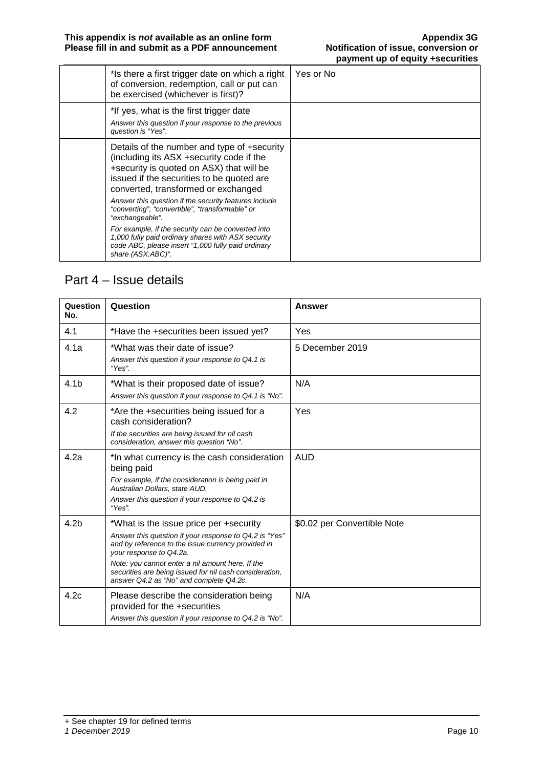| *Is there a first trigger date on which a right<br>of conversion, redemption, call or put can<br>be exercised (whichever is first)?                                                                                     | Yes or No |
|-------------------------------------------------------------------------------------------------------------------------------------------------------------------------------------------------------------------------|-----------|
| *If yes, what is the first trigger date<br>Answer this question if your response to the previous<br>question is "Yes".                                                                                                  |           |
| Details of the number and type of +security<br>(including its ASX +security code if the<br>+security is quoted on ASX) that will be<br>issued if the securities to be quoted are<br>converted, transformed or exchanged |           |
| Answer this question if the security features include<br>"converting", "convertible", "transformable" or<br>"exchangeable".                                                                                             |           |
| For example, if the security can be converted into<br>1,000 fully paid ordinary shares with ASX security<br>code ABC, please insert "1,000 fully paid ordinary<br>share (ASX:ABC)".                                     |           |

## Part 4 – Issue details

| Question<br>No.  | Question                                                                                                                                                                                                                                                                                                                                    | Answer                      |
|------------------|---------------------------------------------------------------------------------------------------------------------------------------------------------------------------------------------------------------------------------------------------------------------------------------------------------------------------------------------|-----------------------------|
| 4.1              | *Have the +securities been issued yet?                                                                                                                                                                                                                                                                                                      | Yes                         |
| 4.1a             | *What was their date of issue?<br>Answer this question if your response to Q4.1 is<br>"Yes".                                                                                                                                                                                                                                                | 5 December 2019             |
| 4.1 <sub>b</sub> | *What is their proposed date of issue?<br>Answer this question if your response to Q4.1 is "No".                                                                                                                                                                                                                                            | N/A                         |
| 4.2              | *Are the +securities being issued for a<br>cash consideration?<br>If the securities are being issued for nil cash<br>consideration, answer this question "No".                                                                                                                                                                              | Yes                         |
| 4.2a             | *In what currency is the cash consideration<br>being paid<br>For example, if the consideration is being paid in<br>Australian Dollars, state AUD.<br>Answer this question if your response to Q4.2 is<br>"Yes".                                                                                                                             | <b>AUD</b>                  |
| 4.2 <sub>b</sub> | *What is the issue price per +security<br>Answer this question if your response to Q4.2 is "Yes"<br>and by reference to the issue currency provided in<br>your response to Q4.2a.<br>Note: you cannot enter a nil amount here. If the<br>securities are being issued for nil cash consideration,<br>answer Q4.2 as "No" and complete Q4.2c. | \$0.02 per Convertible Note |
| 4.2c             | Please describe the consideration being<br>provided for the +securities<br>Answer this question if your response to Q4.2 is "No".                                                                                                                                                                                                           | N/A                         |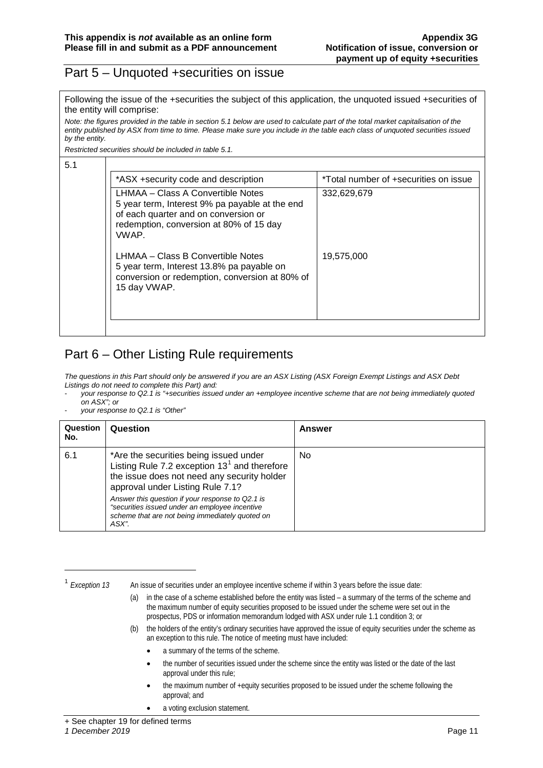### Part 5 – Unquoted +securities on issue

Following the issue of the +securities the subject of this application, the unquoted issued +securities of the entity will comprise:

*Note: the figures provided in the table in section 5.1 below are used to calculate part of the total market capitalisation of the entity published by ASX from time to time. Please make sure you include in the table each class of unquoted securities issued by the entity.*

*Restricted securities should be included in table 5.1.*

5.1

| *ASX +security code and description                                                                                                                                             | *Total number of +securities on issue |
|---------------------------------------------------------------------------------------------------------------------------------------------------------------------------------|---------------------------------------|
| LHMAA - Class A Convertible Notes<br>5 year term, Interest 9% pa payable at the end<br>of each quarter and on conversion or<br>redemption, conversion at 80% of 15 day<br>VWAP. | 332,629,679                           |
| LHMAA – Class B Convertible Notes<br>5 year term, Interest 13.8% pa payable on<br>conversion or redemption, conversion at 80% of<br>15 day VWAP.                                | 19,575,000                            |

## Part 6 – Other Listing Rule requirements

*The questions in this Part should only be answered if you are an ASX Listing (ASX Foreign Exempt Listings and ASX Debt Listings do not need to complete this Part) and:*

- *your response to Q2.1 is "+securities issued under an +employee incentive scheme that are not being immediately quoted on ASX"; or*
- *your response to Q2.1 is "Other"*

| Question<br>No. | Question                                                                                                                                                                                                                        | Answer |
|-----------------|---------------------------------------------------------------------------------------------------------------------------------------------------------------------------------------------------------------------------------|--------|
| 6.1             | *Are the securities being issued under<br>Listing Rule 7.2 exception $131$ and therefore<br>the issue does not need any security holder<br>approval under Listing Rule 7.1?<br>Answer this question if your response to Q2.1 is | No.    |
|                 | "securities issued under an employee incentive<br>scheme that are not being immediately quoted on<br>ASX".                                                                                                                      |        |

-

<span id="page-11-0"></span><sup>1</sup> *Exception 13* An issue of securities under an employee incentive scheme if within 3 years before the issue date:

- (a) in the case of a scheme established before the entity was listed a summary of the terms of the scheme and the maximum number of equity securities proposed to be issued under the scheme were set out in the prospectus, PDS or information memorandum lodged with ASX under rule 1.1 condition 3; or
- (b) the holders of the entity's ordinary securities have approved the issue of equity securities under the scheme as an exception to this rule. The notice of meeting must have included:
	- a summary of the terms of the scheme.
	- the number of securities issued under the scheme since the entity was listed or the date of the last approval under this rule;
	- the maximum number of +equity securities proposed to be issued under the scheme following the approval; and
	- a voting exclusion statement.